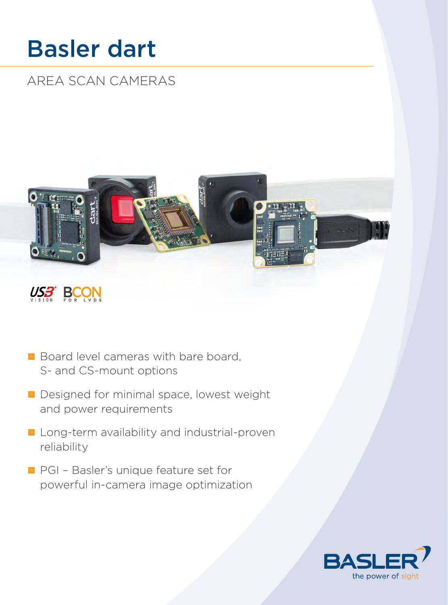# Basler dart

AREA SCAN CAMERAS





- Board level cameras with bare board, S- and CS-mount options
- Designed for minimal space, lowest weight and power requirements
- **Lang-term availability and industrial-proven** reliability
- **PGI Basler's unique feature set for** powerful in-camera image optimization

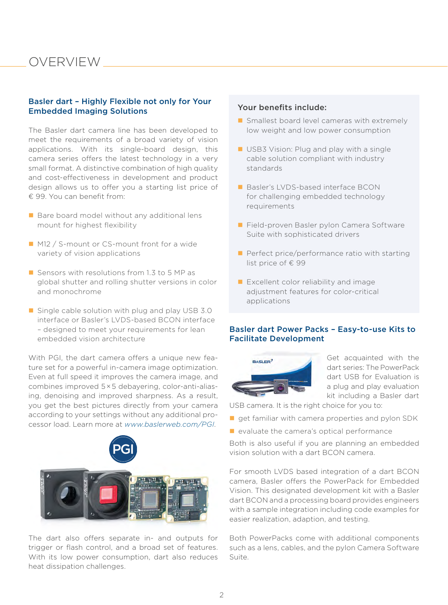### OVERVIEW

### Basler dart – Highly Flexible not only for Your Embedded Imaging Solutions

The Basler dart camera line has been developed to meet the requirements of a broad variety of vision applications. With its single-board design, this camera series offers the latest technology in a very small format. A distinctive combination of high quality and cost-effectiveness in development and product design allows us to offer you a starting list price of € 99. You can benefit from:

- Bare board model without any additional lens mount for highest flexibility
- **M12** / S-mount or CS-mount front for a wide variety of vision applications
- Sensors with resolutions from 1.3 to 5 MP as global shutter and rolling shutter versions in color and monochrome
- $\blacksquare$  Single cable solution with plug and play USB 3.0 interface or Basler's LVDS-based BCON interface – designed to meet your requirements for lean embedded vision architecture

With PGI, the dart camera offers a unique new feature set for a powerful in-camera image optimization. Even at full speed it improves the camera image, and combines improved 5 × 5 debayering, color-anti-aliasing, denoising and improved sharpness. As a result, you get the best pictures directly from your camera according to your settings without any additional processor load. Learn more at *[www.baslerweb.com/PGI](http://www.baslerweb.com/PGI)*.



The dart also offers separate in- and outputs for trigger or flash control, and a broad set of features. With its low power consumption, dart also reduces heat dissipation challenges.

### Your benefits include:

- Smallest board level cameras with extremely low weight and low power consumption
- USB3 Vision: Plug and play with a single cable solution compliant with industry standards
- Basler's LVDS-based interface BCON for challenging embedded technology requirements
- Field-proven Basler pylon Camera Software Suite with sophisticated drivers
- $\blacksquare$  Perfect price/performance ratio with starting list price of € 99
- **Excellent color reliability and image** adjustment features for color-critical applications

### Basler dart Power Packs – Easy-to-use Kits to Facilitate Development



Get acquainted with the dart series: The PowerPack dart USB for Evaluation is a plug and play evaluation kit including a Basler dart

USB camera. It is the right choice for you to:

- get familiar with camera properties and pylon SDK
- $\blacksquare$  evaluate the camera's optical performance

Both is also useful if you are planning an embedded vision solution with a dart BCON camera.

For smooth LVDS based integration of a dart BCON camera, Basler offers the PowerPack for Embedded Vision. This designated development kit with a Basler dart BCON and a processing board provides engineers with a sample integration including code examples for easier realization, adaption, and testing.

Both PowerPacks come with additional components such as a lens, cables, and the pylon Camera Software Suite.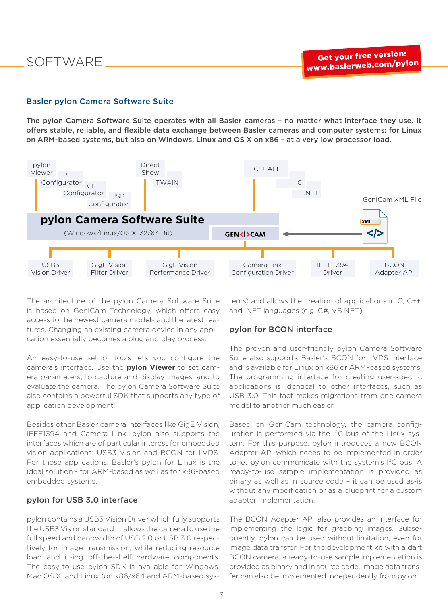### Basler pylon Camera Software Suite

The pylon Camera Software Suite operates with all Basler cameras – no matter what interface they use. It offers stable, reliable, and flexible data exchange between Basler cameras and computer systems: for Linux on ARM-based systems, but also on Windows, Linux and OS X on x86 – at a very low processor load.



The architecture of the pylon Camera Software Suite is based on GenICam Technology, which offers easy access to the newest camera models and the latest features. Changing an existing camera device in any application essentially becomes a plug and play process.

An easy-to-use set of tools lets you configure the camera's interface. Use the **pylon Viewer** to set camera parameters, to capture and display images, and to evaluate the camera. The pylon Camera Software Suite also contains a powerful SDK that supports any type of application development.

Besides other Basler camera interfaces like GigE Vision, IEEE1394 and Camera Link, pylon also supports the interfaces which are of particular interest for embedded vision applications: USB3 Vision and BCON for LVDS. For those applications, Basler's pylon for Linux is the ideal solution - for ARM-based as well as for x86-based embedded systems.

#### pylon for USB 3.0 interface

pylon contains a USB3 Vision Driver which fully supports the USB3 Vision standard. It allows the camera to use the full speed and bandwidth of USB 2.0 or USB 3.0 respectively for image transmission, while reducing resource load and using off-the-shelf hardware components. The easy-to-use pylon SDK is available for Windows, Mac OS X, and Linux (on x86/x64 and ARM-based systems) and allows the creation of applications in C, C++, and .NET languages (e.g. C#, VB.NET).

### pylon for BCON interface

The proven and user-friendly pylon Camera Software Suite also supports Basler's BCON for LVDS interface and is available for Linux on x86 or ARM-based systems. The programming interface for creating user-specific applications is identical to other interfaces, such as USB 3.0. This fact makes migrations from one camera model to another much easier.

Based on GenICam technology, the camera configuration is performed via the I²C bus of the Linux system. For this purpose, pylon introduces a new BCON Adapter API which needs to be implemented in order to let pylon communicate with the system's  $I^2C$  bus. A ready-to-use sample implementation is provided as binary as well as in source code – it can be used as-is without any modification or as a blueprint for a custom adapter implementation.

The BCON Adapter API also provides an interface for implementing the logic for grabbing images. Subsequently, pylon can be used without limitation, even for image data transfer. For the development kit with a dart BCON camera, a ready-to-use sample implementation is provided as binary and in source code. Image data transfer can also be implemented independently from pylon.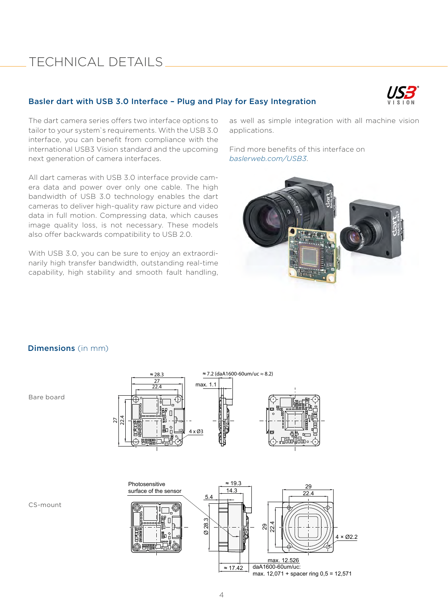### TECHNICAL DETAILS

### Basler dart with USB 3.0 Interface – Plug and Play for Easy Integration



The dart camera series offers two interface options to tailor to your system`s requirements. With the USB 3.0 interface, you can benefit from compliance with the international USB3 Vision standard and the upcoming next generation of camera interfaces.

All dart cameras with USB 3.0 interface provide camera data and power over only one cable. The high bandwidth of USB 3.0 technology enables the dart cameras to deliver high-quality raw picture and video data in full motion. Compressing data, which causes image quality loss, is not necessary. These models also offer backwards compatibility to USB 2.0.

With USB 3.0, you can be sure to enjoy an extraordinarily high transfer bandwidth, outstanding real-time capability, high stability and smooth fault handling, as well as simple integration with all machine vision applications.

Find more benefits of this interface on *[baslerweb.com/USB3](http://baslerweb.com/USB)*.



### Dimensions (in mm)

Bare board





CS-mount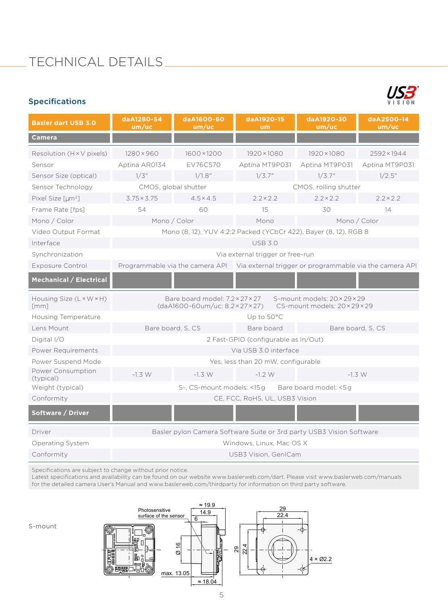### Specifications



| <b>Basler dart USB 3.0</b>                     | daA1280-54<br>um/uc                                                                                                                  | daA1600-60<br>um/uc | daA1920-15<br>um      | daA1920-30<br>um/uc | daA2500-14<br>um/uc |  |
|------------------------------------------------|--------------------------------------------------------------------------------------------------------------------------------------|---------------------|-----------------------|---------------------|---------------------|--|
| <b>Camera</b>                                  |                                                                                                                                      |                     |                       |                     |                     |  |
| Resolution $(H \times V)$ pixels)              | $1280 \times 960$                                                                                                                    | 1600×1200           | 1920×1080             | $1920 \times 1080$  | 2592×1944           |  |
| Sensor                                         | Aptina AR0134                                                                                                                        | EV76C570            | Aptina MT9P031        | Aptina MT9P031      | Aptina MT9P031      |  |
| Sensor Size (optical)                          | 1/3''                                                                                                                                | 1/1.8"              | 1/3.7"                | 1/3.7"              | 1/2.5"              |  |
| Sensor Technology                              | CMOS, global shutter                                                                                                                 |                     | CMOS, rolling shutter |                     |                     |  |
| Pixel Size [um <sup>2</sup> ]                  | $3.75 \times 3.75$                                                                                                                   | $4.5 \times 4.5$    | $2.2 \times 2.2$      | $2.2 \times 2.2$    | $2.2 \times 2.2$    |  |
| Frame Rate [fps]                               | 54                                                                                                                                   | 60                  | 15                    | 30                  | 14                  |  |
| Mono / Color                                   | Mono / Color                                                                                                                         |                     | Mono                  | Mono / Color        |                     |  |
| Video Output Format                            | Mono (8, 12), YUV 4:2:2 Packed (YCbCr 422), Bayer (8, 12), RGB 8                                                                     |                     |                       |                     |                     |  |
| Interface                                      | <b>USB 3.0</b>                                                                                                                       |                     |                       |                     |                     |  |
| Synchronization                                | Via external trigger or free-run                                                                                                     |                     |                       |                     |                     |  |
| <b>Exposure Control</b>                        | Programmable via the camera API Via external trigger or programmable via the camera API                                              |                     |                       |                     |                     |  |
| <b>Mechanical / Electrical</b>                 |                                                                                                                                      |                     |                       |                     |                     |  |
| Housing Size (L × W × H)<br>$\lceil mm \rceil$ | Bare board model: 7.2×27×27<br>S-mount models: $20 \times 29 \times 29$<br>(daA1600-60um/uc: 8.2×27×27)<br>CS-mount models: 20×29×29 |                     |                       |                     |                     |  |
| Housing Temperature                            |                                                                                                                                      |                     | Up to 50°C            |                     |                     |  |
| Lens Mount                                     |                                                                                                                                      | Bare board, S, CS   | Bare board            | Bare board, S, CS   |                     |  |
| Digital I/O                                    | 2 Fast-GPIO (configurable as In/Out)                                                                                                 |                     |                       |                     |                     |  |
| Power Requirements                             | Via USB 3.0 interface                                                                                                                |                     |                       |                     |                     |  |
| Power Suspend Mode                             | Yes, less than 20 mW, configurable                                                                                                   |                     |                       |                     |                     |  |
| Power Consumption<br>(typical)                 | $-1.3 W$                                                                                                                             | $-1.3 W$            | $-1.2 W$              |                     | $-1.3 W$            |  |
| Weight (typical)                               | S-, CS-mount models: <15g<br>Bare board model: <5g                                                                                   |                     |                       |                     |                     |  |
| Conformity                                     | CE, FCC, RoHS, UL, USB3 Vision                                                                                                       |                     |                       |                     |                     |  |
| Software / Driver                              |                                                                                                                                      |                     |                       |                     |                     |  |
| Driver                                         | Basler pylon Camera Software Suite or 3rd party USB3 Vision Software                                                                 |                     |                       |                     |                     |  |
| Operating System                               | Windows, Linux, Mac OS X                                                                                                             |                     |                       |                     |                     |  |
| Conformity                                     | <b>USB3 Vision, GenICam</b>                                                                                                          |                     |                       |                     |                     |  |

Specifications are subject to change without prior notice.

Latest specifications and availability can be found on our website [www.baslerweb.com/dart.](http://www.baslerweb.com/dart) Please visit [www.baslerweb.com/manuals](http://www.baslerweb.com/manuals)  for the detailed camera User's Manual and [www.baslerweb.com/thirdparty](http://www.baslerweb.com/thirdparty) for information on third party software.



S-mount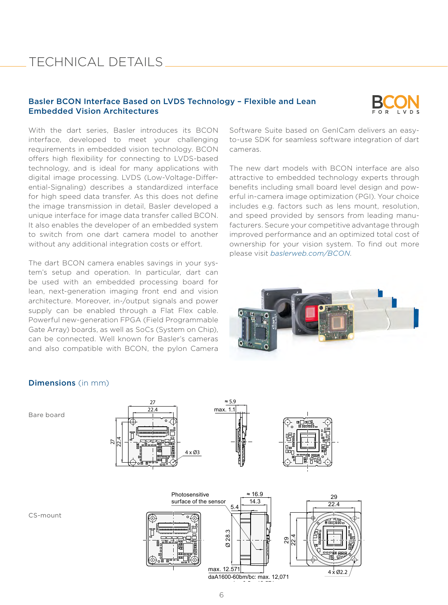### TECHNICAL DETAILS

### Basler BCON Interface Based on LVDS Technology – Flexible and Lean Embedded Vision Architectures



With the dart series, Basler introduces its BCON interface, developed to meet your challenging requirements in embedded vision technology. BCON offers high flexibility for connecting to LVDS-based technology, and is ideal for many applications with digital image processing. LVDS (Low-Voltage-Differential-Signaling) describes a standardized interface for high speed data transfer. As this does not define the image transmission in detail, Basler developed a unique interface for image data transfer called BCON. It also enables the developer of an embedded system to switch from one dart camera model to another without any additional integration costs or effort.

The dart BCON camera enables savings in your system's setup and operation. In particular, dart can be used with an embedded processing board for lean, next-generation imaging front end and vision architecture. Moreover, in-/output signals and power supply can be enabled through a Flat Flex cable. Powerful new-generation FPGA (Field Programmable Gate Array) boards, as well as SoCs (System on Chip), can be connected. Well known for Basler's cameras and also compatible with BCON, the pylon Camera Software Suite based on GenICam delivers an easyto-use SDK for seamless software integration of dart cameras.

The new dart models with BCON interface are also attractive to embedded technology experts through benefits including small board level design and powerful in-camera image optimization (PGI). Your choice includes e.g. factors such as lens mount, resolution, and speed provided by sensors from leading manufacturers. Secure your competitive advantage through improved performance and an optimized total cost of ownership for your vision system. To find out more please visit *[baslerweb.com/BCON](http://www.baslerweb.com/BCON)*.



### Dimensions (in mm)

Bare board



CS-mount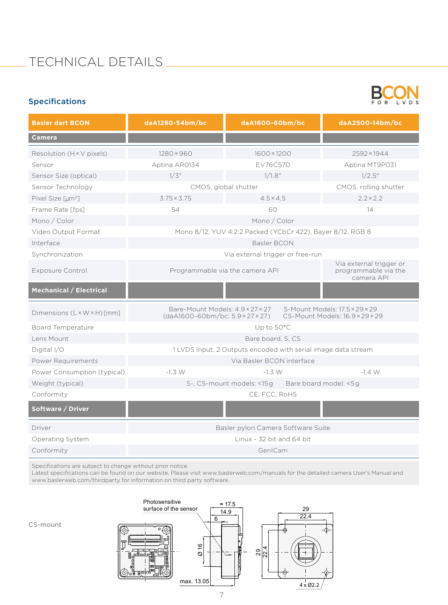## TECHNICAL DETAILS

### Specifications



| <b>Basler dart BCON</b>           | daA1280-54bm/bc                                                                                                                                                  | daA1600-60bm/bc                                               |                       | daA2500-14bm/bc  |  |  |
|-----------------------------------|------------------------------------------------------------------------------------------------------------------------------------------------------------------|---------------------------------------------------------------|-----------------------|------------------|--|--|
| <b>Camera</b>                     |                                                                                                                                                                  |                                                               |                       |                  |  |  |
| Resolution ( $H \times V$ pixels) | $1280 \times 960$                                                                                                                                                | 1600×1200                                                     |                       | 2592×1944        |  |  |
| Sensor                            | Aptina AR0134                                                                                                                                                    | EV76C570                                                      |                       | Aptina MT9P031   |  |  |
| Sensor Size (optical)             | 1/3"                                                                                                                                                             | 1/1.8"                                                        |                       | $1/2.5$ "        |  |  |
| Sensor Technology                 | CMOS, global shutter                                                                                                                                             |                                                               | CMOS, rolling shutter |                  |  |  |
| Pixel Size [um <sup>2</sup> ]     | $3.75 \times 3.75$                                                                                                                                               | $4.5 \times 4.5$                                              |                       | $2.2 \times 2.2$ |  |  |
| Frame Rate [fps]                  | 54                                                                                                                                                               | 60                                                            |                       | 14               |  |  |
| Mono / Color                      | Mono / Color                                                                                                                                                     |                                                               |                       |                  |  |  |
| Video Output Format               | Mono 8/12, YUV 4:2:2 Packed (YCbCr 422), Bayer 8/12, RGB 8                                                                                                       |                                                               |                       |                  |  |  |
| Interface                         | Basler BCON                                                                                                                                                      |                                                               |                       |                  |  |  |
| Synchronization                   | Via external trigger or free-run                                                                                                                                 |                                                               |                       |                  |  |  |
| <b>Exposure Control</b>           | Programmable via the camera API                                                                                                                                  | Via external trigger or<br>programmable via the<br>camera API |                       |                  |  |  |
| <b>Mechanical / Electrical</b>    |                                                                                                                                                                  |                                                               |                       |                  |  |  |
| Dimensions (L×W×H)[mm]            | Bare-Mount Models: 4.9×27×27<br>S-Mount Models: 17.5 × 29 × 29<br>$(daA1600-60bm/bc: 5.9 \times 27 \times 27)$<br>$CS$ -Mount Models: $16.9 \times 29 \times 29$ |                                                               |                       |                  |  |  |
| <b>Board Temperature</b>          | Up to $50^{\circ}$ C                                                                                                                                             |                                                               |                       |                  |  |  |
| Lens Mount                        | Bare board, S, CS                                                                                                                                                |                                                               |                       |                  |  |  |
| Digital I/O                       | 1 LVDS Input, 2 Outputs encoded with serial image data stream                                                                                                    |                                                               |                       |                  |  |  |
| Power Requirements                | Via Basler BCON interface                                                                                                                                        |                                                               |                       |                  |  |  |
| Power Consumption (typical)       | $-1.3 W$<br>$-1.3 W$                                                                                                                                             |                                                               | $-1.4 W$              |                  |  |  |
| Weight (typical)                  | S-, CS-mount models: <15g Bare board model: <5g                                                                                                                  |                                                               |                       |                  |  |  |
| Conformity                        | CE, FCC, RoHS                                                                                                                                                    |                                                               |                       |                  |  |  |
| Software / Driver                 |                                                                                                                                                                  |                                                               |                       |                  |  |  |
| Driver                            | Basler pylon Camera Software Suite                                                                                                                               |                                                               |                       |                  |  |  |
| Operating System                  | Linux - 32 bit and 64 bit                                                                                                                                        |                                                               |                       |                  |  |  |
| Conformity                        | GenICam                                                                                                                                                          |                                                               |                       |                  |  |  |

Specifications are subject to change without prior notice.

Latest specifications can be found on our website. Please visit [www.baslerweb.com/manuals](http://www.baslerweb.com/manuals) for the detailed camera User's Manual and [www.baslerweb.com/thirdparty](http://www.baslerweb.com/thirdparty) for information on third party software.



CS-mount